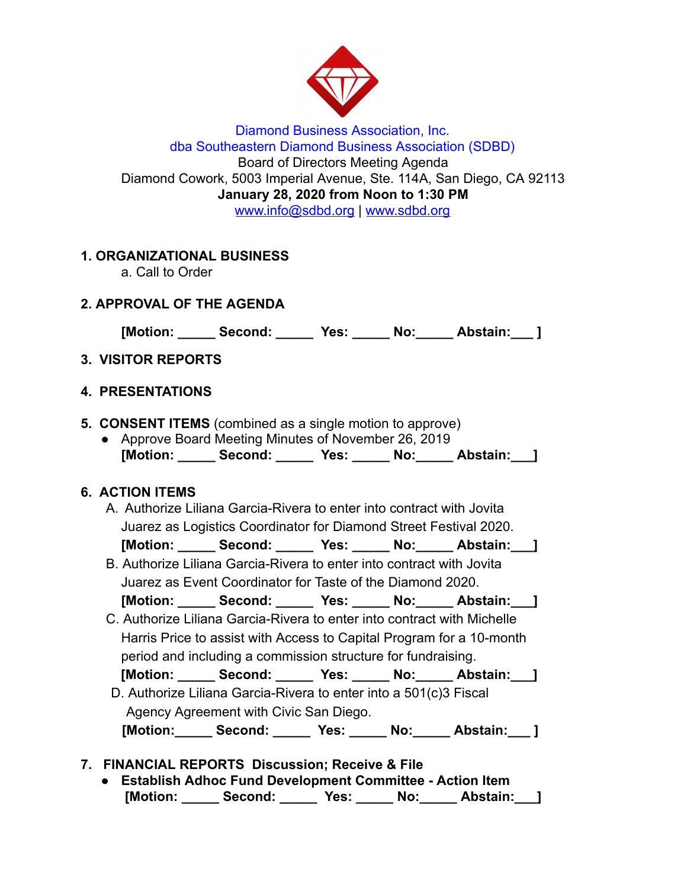

Diamond Business Association, Inc. dba Southeastern Diamond Business Association (SDBD) Board of Directors Meeting Agenda Diamond Cowork, 5003 Imperial Avenue, Ste. 114A, San Diego, CA 92113 **January 28, 2020 from Noon to 1:30 PM**  www.info@sdbd.org | [www.sdbd.org](http://www.sdbd.org/)

# **1. ORGANIZATIONAL BUSINESS**

a. Call to Order

# **2. APPROVAL OF THE AGENDA**

**[Motion: \_\_\_\_\_ Second: \_\_\_\_\_ Yes: \_\_\_\_\_ No:\_\_\_\_\_ Abstain:\_\_\_ ]** 

# **3. VISITOR REPORTS**

#### **4. PRESENTATIONS**

- **5. CONSENT ITEMS** (combined as a single motion to approve)
	- Approve Board Meeting Minutes of November 26, 2019 **[Motion: \_\_\_\_\_ Second: \_\_\_\_\_ Yes: \_\_\_\_\_ No:\_\_\_\_\_ Abstain:\_\_\_]**

## **6. ACTION ITEMS**

- A. Authorize Liliana Garcia-Rivera to enter into contract with Jovita Juarez as Logistics Coordinator for Diamond Street Festival 2020. [Motion: Second: Yes: No: Abstain: ]
- B. Authorize Liliana Garcia-Rivera to enter into contract with Jovita Juarez as Event Coordinator for Taste of the Diamond 2020. **[Motion: \_\_\_\_\_ Second: \_\_\_\_\_ Yes: \_\_\_\_\_ No:\_\_\_\_\_ Abstain:\_\_\_]**
- C. Authorize Liliana Garcia-Rivera to enter into contract with Michelle Harris Price to assist with Access to Capital Program for a 10-month period and including a commission structure for fundraising.

 **[Motion: \_\_\_\_\_ Second: \_\_\_\_\_ Yes: \_\_\_\_\_ No:\_\_\_\_\_ Abstain:\_\_\_]** 

D. Authorize Liliana Garcia-Rivera to enter into a 501(c)3 Fiscal Agency Agreement with Civic San Diego.  **[Motion:\_\_\_\_\_ Second: \_\_\_\_\_ Yes: \_\_\_\_\_ No:\_\_\_\_\_ Abstain:\_\_\_ ]** 

## **7. FINANCIAL REPORTS Discussion; Receive & File**

**● Establish Adhoc Fund Development Committee - Action Item [Motion: \_\_\_\_\_ Second: \_\_\_\_\_ Yes: \_\_\_\_\_ No:\_\_\_\_\_ Abstain:\_\_\_]**